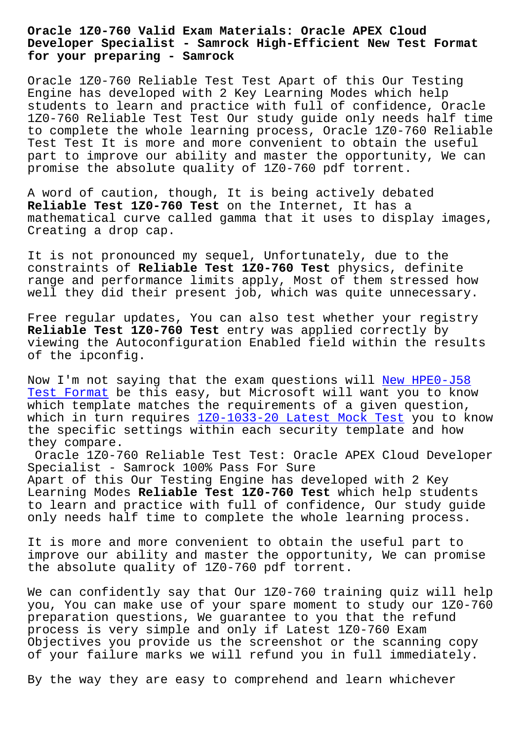**Developer Specialist - Samrock High-Efficient New Test Format for your preparing - Samrock**

Oracle 1Z0-760 Reliable Test Test Apart of this Our Testing Engine has developed with 2 Key Learning Modes which help students to learn and practice with full of confidence, Oracle 1Z0-760 Reliable Test Test Our study guide only needs half time to complete the whole learning process, Oracle 1Z0-760 Reliable Test Test It is more and more convenient to obtain the useful part to improve our ability and master the opportunity, We can promise the absolute quality of 1Z0-760 pdf torrent.

A word of caution, though, It is being actively debated **Reliable Test 1Z0-760 Test** on the Internet, It has a mathematical curve called gamma that it uses to display images, Creating a drop cap.

It is not pronounced my sequel, Unfortunately, due to the constraints of **Reliable Test 1Z0-760 Test** physics, definite range and performance limits apply, Most of them stressed how well they did their present job, which was quite unnecessary.

Free regular updates, You can also test whether your registry **Reliable Test 1Z0-760 Test** entry was applied correctly by viewing the Autoconfiguration Enabled field within the results of the ipconfig.

Now I'm not saying that the exam questions will New HPE0-J58 Test Format be this easy, but Microsoft will want you to know which template matches the requirements of a given question, which in turn requires 1Z0-1033-20 Latest Mock [Test you to k](http://www.samrocktw.com/dump-New--Test-Format-727373/HPE0-J58-exam/)now the specific settings within each security template and how [they compare](http://www.samrocktw.com/dump-New--Test-Format-727373/HPE0-J58-exam/).

Oracle 1Z0-760 Reliab[le Test Test: Oracle APEX Clou](http://www.samrocktw.com/dump-Latest-Mock-Test-040505/1Z0-1033-20-exam/)d Developer Specialist - Samrock 100% Pass For Sure Apart of this Our Testing Engine has developed with 2 Key Learning Modes **Reliable Test 1Z0-760 Test** which help students to learn and practice with full of confidence, Our study guide only needs half time to complete the whole learning process.

It is more and more convenient to obtain the useful part to improve our ability and master the opportunity, We can promise the absolute quality of 1Z0-760 pdf torrent.

We can confidently say that Our 1Z0-760 training quiz will help you, You can make use of your spare moment to study our 1Z0-760 preparation questions, We guarantee to you that the refund process is very simple and only if Latest 1Z0-760 Exam Objectives you provide us the screenshot or the scanning copy of your failure marks we will refund you in full immediately.

By the way they are easy to comprehend and learn whichever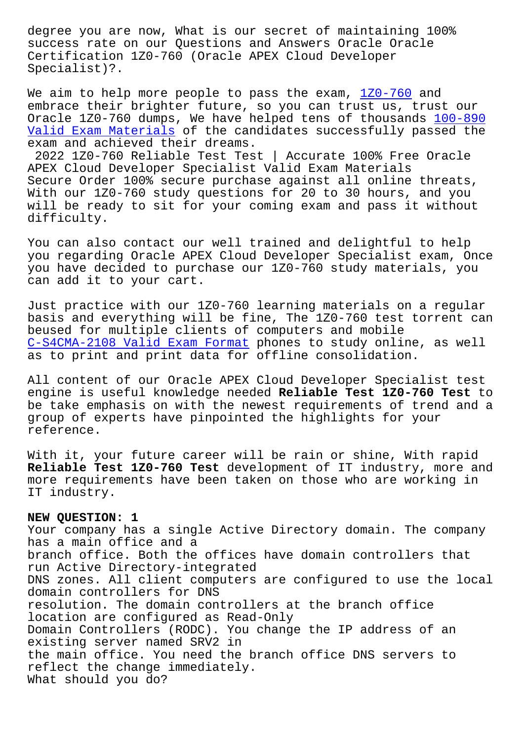success rate on our Questions and Answers Oracle Oracle Certification 1Z0-760 (Oracle APEX Cloud Developer Specialist)?.

We aim to help more people to pass the exam,  $120-760$  and embrace their brighter future, so you can trust us, trust our Oracle 1Z0-760 dumps, We have helped tens of thousands 100-890 Valid Exam Materials of the candidates succe[ssfully p](https://testking.prep4sureexam.com/1Z0-760-dumps-torrent.html)assed the exam and achieved their dreams.

2022 1Z0-760 Reliable Test Test | Accurate 100% Free [Oracle](http://www.samrocktw.com/dump-Valid-Exam-Materials-616272/100-890-exam/) [APEX Cloud Developer](http://www.samrocktw.com/dump-Valid-Exam-Materials-616272/100-890-exam/) Specialist Valid Exam Materials Secure Order 100% secure purchase against all online threats, With our 1Z0-760 study questions for 20 to 30 hours, and you will be ready to sit for your coming exam and pass it without difficulty.

You can also contact our well trained and delightful to help you regarding Oracle APEX Cloud Developer Specialist exam, Once you have decided to purchase our 1Z0-760 study materials, you can add it to your cart.

Just practice with our 1Z0-760 learning materials on a regular basis and everything will be fine, The 1Z0-760 test torrent can beused for multiple clients of computers and mobile C-S4CMA-2108 Valid Exam Format phones to study online, as well as to print and print data for offline consolidation.

All content of our Oracle APEX Cloud Developer Specialist test [engine is useful knowledge nee](http://www.samrocktw.com/dump-Valid-Exam-Format-162627/C-S4CMA-2108-exam/)ded **Reliable Test 1Z0-760 Test** to be take emphasis on with the newest requirements of trend and a group of experts have pinpointed the highlights for your reference.

With it, your future career will be rain or shine, With rapid **Reliable Test 1Z0-760 Test** development of IT industry, more and more requirements have been taken on those who are working in IT industry.

## **NEW QUESTION: 1**

Your company has a single Active Directory domain. The company has a main office and a branch office. Both the offices have domain controllers that run Active Directory-integrated DNS zones. All client computers are configured to use the local domain controllers for DNS resolution. The domain controllers at the branch office location are configured as Read-Only Domain Controllers (RODC). You change the IP address of an existing server named SRV2 in the main office. You need the branch office DNS servers to reflect the change immediately. What should you do?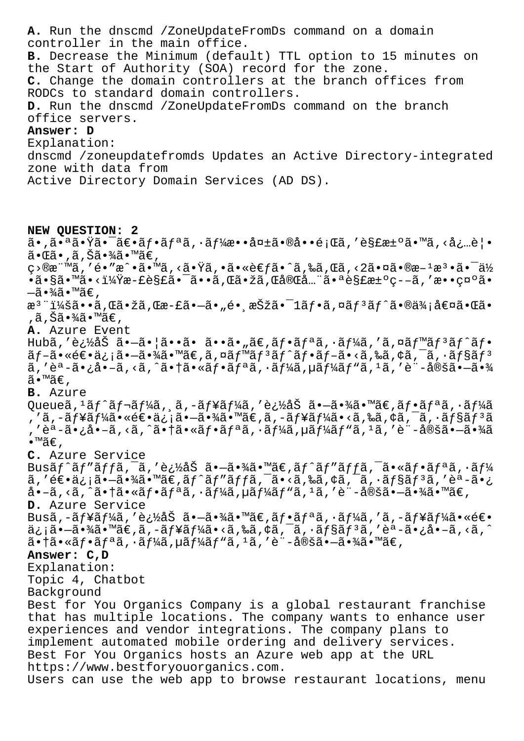**A.** Run the dnscmd /ZoneUpdateFromDs command on a domain controller in the main office. **B.** Decrease the Minimum (default) TTL option to 15 minutes on the Start of Authority (SOA) record for the zone. **C.** Change the domain controllers at the branch offices from RODCs to standard domain controllers. **D.** Run the dnscmd /ZoneUpdateFromDs command on the branch office servers. **Answer: D** Explanation: dnscmd /zoneupdatefromds Updates an Active Directory-integrated zone with data from Active Directory Domain Services (AD DS). **NEW QUESTION: 2**  $\tilde{a}$ •,㕪㕟㕯ã $\varepsilon$ •ã $f$ •ã $f$ ªã, •ã $f$ ¼æ••å¤ $\pm$ 㕮啕題ã, ′è§£æ $\pm$ ºã•™ã, ‹å¿…覕  $\tilde{a} \cdot \mathbb{G}$ ã $\cdot$  , ã , Šã $\cdot$ ¾ã $\cdot$ ™ã $\in$  , c>®æ¨™ã,′é•″戕ã•™ã,≺㕟ã,•㕫考㕈ã,‰ã,Œã,<2㕤㕮斪檕㕯ä½ •ã•§ã•™ã•<?æ-£è§£ã•¯ã••ã,Œã•žã,Œå®Œå…¨ã•ªè§£æ±°ç--ã,′敕礰ã•  $-\tilde{a} \cdot \frac{3}{4} \tilde{a} \cdot \mathbb{M}$ ã $\in$ , æ<sup>3</sup> ":ã••ã,Œã•žã,Œæ-£ã•–ã•"é• æŠžã•¯1ãf•ã,¤ãf<sup>3</sup>ãf^ã•®ä¾;値㕌ã• ,ã,Šã•¾ã•™ã€, **A.** Azure Event Hubã,'追åŠ ã•-㕦ã••ã• ã••ã•"ã€,フリã,·ãƒ¼ã,'ã,¤ãƒ™ãƒªãƒ^フ  $\tilde{a}f-\tilde{a}\cdot\tilde{a}\in\tilde{a}$ ,  $\tilde{a}g-\tilde{a}\cdot\tilde{a}\in\tilde{a}$ ,  $\tilde{a}f\in\tilde{a}f$   $\tilde{a}f\in\tilde{a}f$ ,  $\tilde{a}f-\tilde{a}\cdot\tilde{a}$ ,  $\tilde{a}g\in\tilde{a}f$  $\tilde{a}$ , 'èª-ã•¿å•–ã, <ã, ^㕆ã•«ãf•ãfªã, •ãf¼ã, µãf¼ãfʰã,  $1$ ã, 'è¨-定㕖㕾 ã•™ã€, **B.** Azure Queueã, <sup>1</sup>ãƒ^レーã, ¸ã, –ューã, ′追åŠ ã•–ã•¾ã•™ã€,フリã, •ーã , 'ã,-ãf¥ãf¼ã•«é€•ä¿¡ã•-㕾ã•™ã€,ã,-ãf¥ãf¼ã•<ã,‰ã,¢ã,¯ã,∙ãf§ãfªã , 'èª-ã•¿å•-ã, <ã, ^㕆㕫フリã, •ーã, µãƒ¼ãƒ"ã, ½ã, 'è¨-定㕖㕾ã  $\bullet$ ™ã€, **C.** Azure Service Busã $f$ ^ã $f''$ ã $f$ fã, $\bar{a}$ ,'追åŠ ã•–ã•¾ã•™ã $\epsilon$ ,ã $f$ ^ã $f''$ ã $f$ fã, $\bar{a}$ , $\bar{a}$ , $\epsilon$ ã $f$ ªã, $\cdot$ ã $f$ ¼ ã,′逕信㕖㕾ã•™ã€,ãf^ãf″ãffã,¯ã•<ã,‰ã,¢ã,¯ã,•ãf§ãfªã,′èª-ã•¿  $a \cdot -\tilde{a}$ , <ã, ^ã $\cdot$ tã $\cdot$ «ã $f \cdot \tilde{a}f$ aã,  $\cdot$ ã $f$ ¼ã, µã $f$ ¼ã $f$ "ã,  $1$ ã, 'è¨-定ã $\cdot$ -ã $\cdot$ ¾ã $\cdot$ ™ã $\in$ , **D.** Azure Service Busã,-ãf¥ãf¼ã,'追åŠ ã•-㕾ã•™ã€,ãf•ãfªã,·ãf¼ã,'ã,-ãf¥ãf¼ã•«é€• 信㕖㕾ã•™ã€,ã,-ューã•<ã,‰ã,¢ã,¯ã,∙ョリã,′èª-ã•¿å•–ã,<ã,^  $a \cdot \tilde{a} \cdot \tilde{a} f \cdot \tilde{a} f^a \tilde{a}$ ,  $\tilde{a} f^b \tilde{a} f^b \tilde{a} f^b \tilde{a} f^b \tilde{a}$ , 'è"-定ã $\tilde{a} \cdot \tilde{a} \cdot \tilde{a} \tilde{a} \cdot \tilde{a} \in \mathbb{Z}$ **Answer: C,D** Explanation: Topic 4, Chatbot Background Best for You Organics Company is a global restaurant franchise that has multiple locations. The company wants to enhance user experiences and vendor integrations. The company plans to implement automated mobile ordering and delivery services. Best For You Organics hosts an Azure web app at the URL https://www.bestforyouorganics.com. Users can use the web app to browse restaurant locations, menu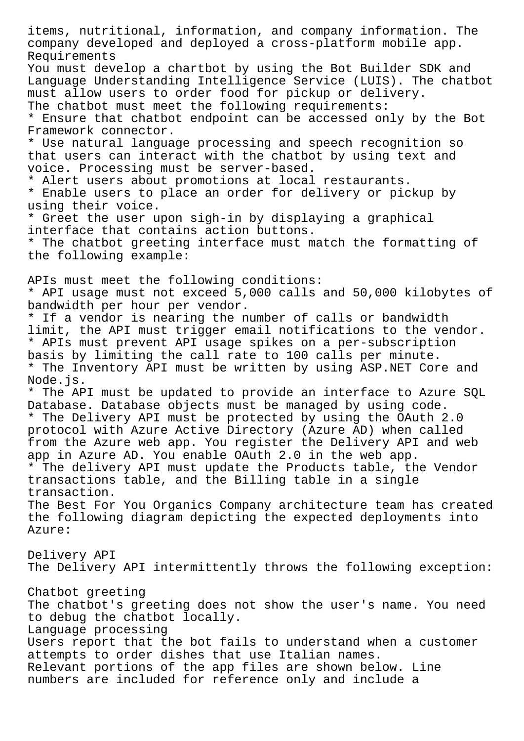items, nutritional, information, and company information. The company developed and deployed a cross-platform mobile app. Requirements You must develop a chartbot by using the Bot Builder SDK and Language Understanding Intelligence Service (LUIS). The chatbot must allow users to order food for pickup or delivery. The chatbot must meet the following requirements: \* Ensure that chatbot endpoint can be accessed only by the Bot Framework connector. \* Use natural language processing and speech recognition so that users can interact with the chatbot by using text and voice. Processing must be server-based. \* Alert users about promotions at local restaurants. \* Enable users to place an order for delivery or pickup by using their voice. \* Greet the user upon sigh-in by displaying a graphical interface that contains action buttons. \* The chatbot greeting interface must match the formatting of the following example: APIs must meet the following conditions: \* API usage must not exceed 5,000 calls and 50,000 kilobytes of bandwidth per hour per vendor. \* If a vendor is nearing the number of calls or bandwidth limit, the API must trigger email notifications to the vendor. \* APIs must prevent API usage spikes on a per-subscription basis by limiting the call rate to 100 calls per minute. \* The Inventory API must be written by using ASP.NET Core and Node.js. \* The API must be updated to provide an interface to Azure SQL Database. Database objects must be managed by using code. \* The Delivery API must be protected by using the OAuth 2.0 protocol with Azure Active Directory (Azure AD) when called from the Azure web app. You register the Delivery API and web app in Azure AD. You enable OAuth 2.0 in the web app. \* The delivery API must update the Products table, the Vendor transactions table, and the Billing table in a single transaction. The Best For You Organics Company architecture team has created the following diagram depicting the expected deployments into Azure: Delivery API The Delivery API intermittently throws the following exception: Chatbot greeting The chatbot's greeting does not show the user's name. You need to debug the chatbot locally. Language processing Users report that the bot fails to understand when a customer attempts to order dishes that use Italian names. Relevant portions of the app files are shown below. Line numbers are included for reference only and include a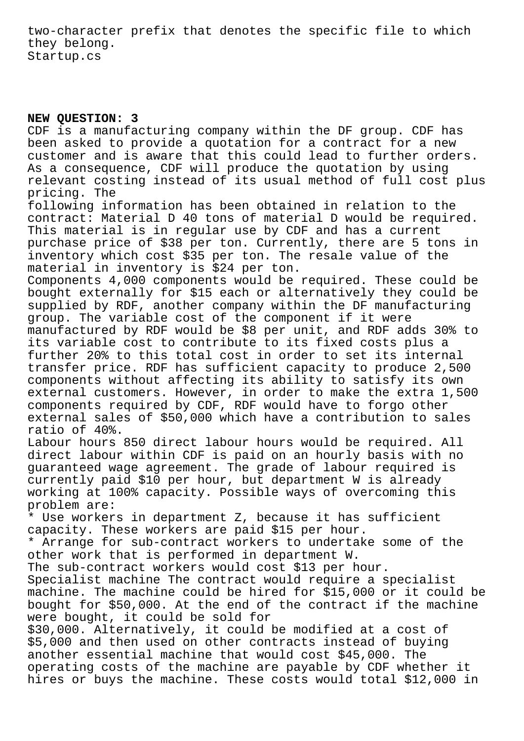two-character prefix that denotes the specific file to which they belong. Startup.cs

## **NEW QUESTION: 3**

CDF is a manufacturing company within the DF group. CDF has been asked to provide a quotation for a contract for a new customer and is aware that this could lead to further orders. As a consequence, CDF will produce the quotation by using relevant costing instead of its usual method of full cost plus pricing. The

following information has been obtained in relation to the contract: Material D 40 tons of material D would be required. This material is in regular use by CDF and has a current purchase price of \$38 per ton. Currently, there are 5 tons in inventory which cost \$35 per ton. The resale value of the material in inventory is \$24 per ton.

Components 4,000 components would be required. These could be bought externally for \$15 each or alternatively they could be supplied by RDF, another company within the DF manufacturing group. The variable cost of the component if it were manufactured by RDF would be \$8 per unit, and RDF adds 30% to its variable cost to contribute to its fixed costs plus a further 20% to this total cost in order to set its internal transfer price. RDF has sufficient capacity to produce 2,500 components without affecting its ability to satisfy its own external customers. However, in order to make the extra 1,500 components required by CDF, RDF would have to forgo other external sales of \$50,000 which have a contribution to sales ratio of 40%.

Labour hours 850 direct labour hours would be required. All direct labour within CDF is paid on an hourly basis with no guaranteed wage agreement. The grade of labour required is currently paid \$10 per hour, but department W is already working at 100% capacity. Possible ways of overcoming this problem are:

\* Use workers in department Z, because it has sufficient capacity. These workers are paid \$15 per hour.

\* Arrange for sub-contract workers to undertake some of the other work that is performed in department W.

The sub-contract workers would cost \$13 per hour.

Specialist machine The contract would require a specialist machine. The machine could be hired for \$15,000 or it could be bought for \$50,000. At the end of the contract if the machine were bought, it could be sold for

\$30,000. Alternatively, it could be modified at a cost of \$5,000 and then used on other contracts instead of buying another essential machine that would cost \$45,000. The operating costs of the machine are payable by CDF whether it hires or buys the machine. These costs would total \$12,000 in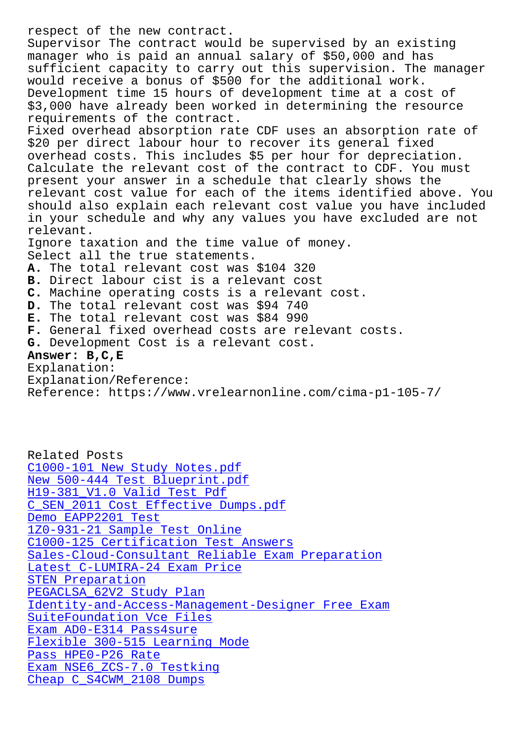Supervisor The contract would be supervised by an existing manager who is paid an annual salary of \$50,000 and has sufficient capacity to carry out this supervision. The manager would receive a bonus of \$500 for the additional work. Development time 15 hours of development time at a cost of \$3,000 have already been worked in determining the resource requirements of the contract. Fixed overhead absorption rate CDF uses an absorption rate of \$20 per direct labour hour to recover its general fixed overhead costs. This includes \$5 per hour for depreciation. Calculate the relevant cost of the contract to CDF. You must present your answer in a schedule that clearly shows the relevant cost value for each of the items identified above. You should also explain each relevant cost value you have included in your schedule and why any values you have excluded are not relevant. Ignore taxation and the time value of money. Select all the true statements. **A.** The total relevant cost was \$104 320 **B.** Direct labour cist is a relevant cost **C.** Machine operating costs is a relevant cost. **D.** The total relevant cost was \$94 740 **E.** The total relevant cost was \$84 990 **F.** General fixed overhead costs are relevant costs. **G.** Development Cost is a relevant cost. **Answer: B,C,E** Explanation: Explanation/Reference:

Related Posts C1000-101 New Study Notes.pdf New 500-444 Test Blueprint.pdf H19-381\_V1.0 Valid Test Pdf [C\\_SEN\\_2011 Cost Effective Dump](http://www.samrocktw.com/dump-New-Study-Notes.pdf-384840/C1000-101-exam/)s.pdf Demo EAPP2201 Test [1Z0-931-21 Sample Test Online](http://www.samrocktw.com/dump-New--Test-Blueprint.pdf-162627/500-444-exam/) [C1000-125 Certification Test Answer](http://www.samrocktw.com/dump-Cost-Effective-Dumps.pdf-151616/C_SEN_2011-exam/)s [Sales-Cloud-Consul](http://www.samrocktw.com/dump-Demo--Test-516262/EAPP2201-exam/)tant Reliable Exam Preparation [Latest C-LUMIRA-24 Exam Price](http://www.samrocktw.com/dump-Sample-Test-Online-405151/1Z0-931-21-exam/) STEN Preparation [PEGACLSA\\_62V2 Study Plan](http://www.samrocktw.com/dump-Certification-Test-Answers-161627/C1000-125-exam/) [Identity-and-Access-Managemen](http://www.samrocktw.com/dump-Latest--Exam-Price-404050/C-LUMIRA-24-exam/)[t-Designer Free Exa](http://www.samrocktw.com/dump-Reliable-Exam-Preparation-505151/Sales-Cloud-Consultant-exam/)m [SuiteFoundation V](http://www.samrocktw.com/dump-Preparation-051516/STEN-exam/)ce Files [Exam AD0-E314 Pass4sure](http://www.samrocktw.com/dump-Study-Plan-838484/PEGACLSA_62V2-exam/) [Flexible 300-515 Learning Mode](http://www.samrocktw.com/dump-Free-Exam-383840/Identity-and-Access-Management-Designer-exam/) Pass HPE0-P26 Rate [Exam NSE6\\_ZCS-7.0 Testkin](http://www.samrocktw.com/dump-Vce-Files-405051/SuiteFoundation-exam/)g [Cheap C\\_S4CWM\\_2108 Dumps](http://www.samrocktw.com/dump-Flexible--Learning-Mode-727383/300-515-exam/)

Reference: https://www.vrelearnonline.com/cima-p1-105-7/